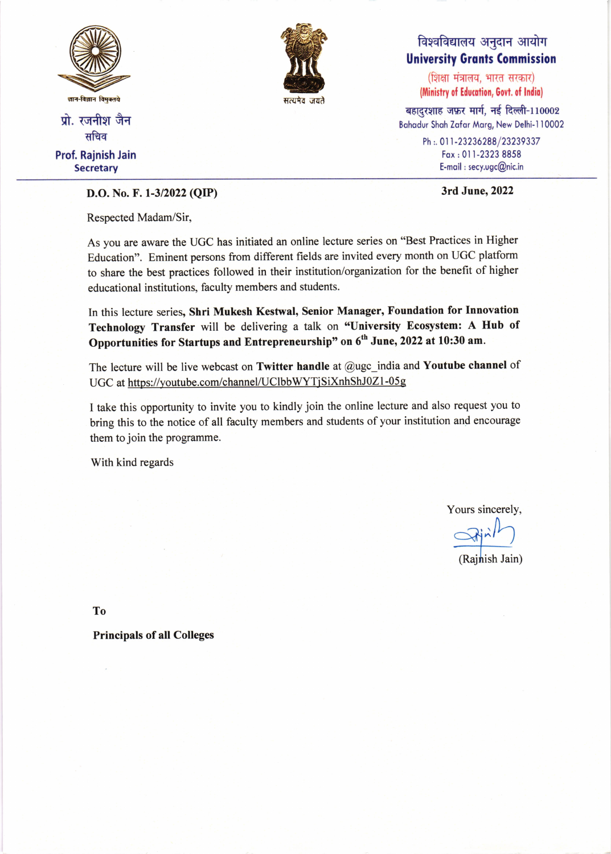

प्रो. रजनीश जैन सचिव Prof. Rajnish Jain

**Secretary** 



## विश्वविद्यालय अनुदान आयोग University Gronts Commission

(शिक्षा मंत्रालय, भारत सरकार) (Ministry of Education, Govt. of India)

बहादुरशाह जफ़र मार्ग, नई दिल्ली-110002 Bohodur Shoh Zofor Morg, New Delhi-l 10002

> Ph :. 011-23236288/23239337 Fox:01 I-2323 8858 E-mqil : secy.ugc@nic.in

## D.O. No. F. 1-3/2022 (QIP) 3rd June, 2022

Respected Madam/Sir,

As you are aware the UGC has initiated an online lecture series on "Best Practices in Higher Education". Eminent persons from different fields are invited every month on UGC platform to share the best practices followed in their institution/organization for the benefit of higher educational institutions, faculty members and students.

In this lecture series, Shri Mukesh Kestwal, Senior Manager, Foundation for Innovation Technology Transfer will be delivering a talk on "University Ecosystem: A Hub of Opportunities for Startups and Entrepreneurship" on 6<sup>th</sup> June, 2022 at 10:30 am.

The lecture will be live webcast on Twitter handle at  $@$ ugc\_india and Youtube channel of UGC at https://youtube.com/channel/UClbbWYTjSiXnhShJ0Z1-05g

I take this opportunity to invite you to kindly join the online lecture and also request you to bring this to the notice of all faculty members and students of your institution and encourage them to join the programme.

With kind regards

Yours sincerely,

n

(Rajnish Jain)

To

Principals of all Colleges